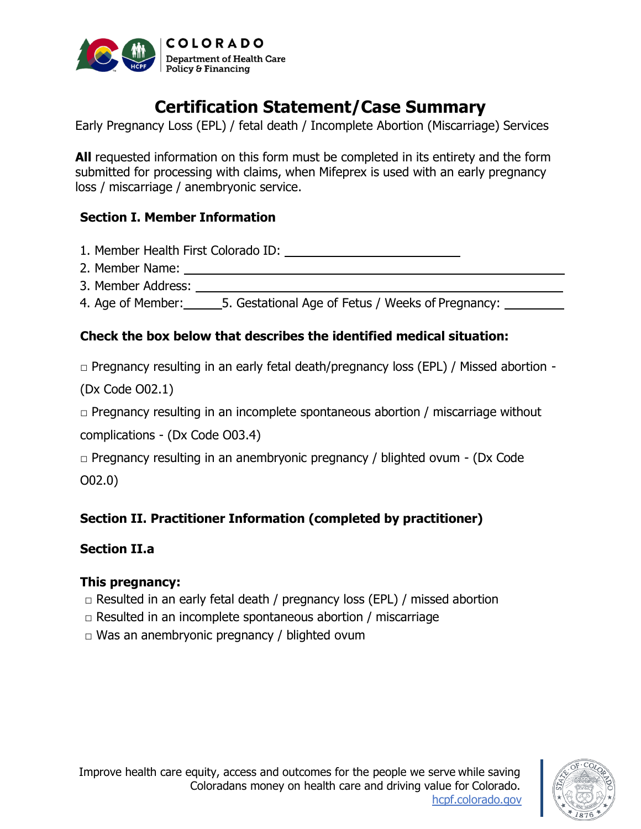

# **Certification Statement/Case Summary**

Early Pregnancy Loss (EPL) / fetal death / Incomplete Abortion (Miscarriage) Services

**All** requested information on this form must be completed in its entirety and the form submitted for processing with claims, when Mifeprex is used with an early pregnancy loss / miscarriage / anembryonic service.

### **Section I. Member Information**

1. Member Health First Colorado ID:

- 2. Member Name:
- 3. Member Address:

4. Age of Member: 5. Gestational Age of Fetus / Weeks of Pregnancy:

# **Check the box below that describes the identified medical situation:**

 $\Box$  Pregnancy resulting in an early fetal death/pregnancy loss (EPL) / Missed abortion -

(Dx Code O02.1)

 $\Box$  Pregnancy resulting in an incomplete spontaneous abortion / miscarriage without

complications - (Dx Code O03.4)

 $\Box$  Pregnancy resulting in an anembryonic pregnancy / blighted ovum - (Dx Code O02.0)

# **Section II. Practitioner Information (completed by practitioner)**

# **Section II.a**

### **This pregnancy:**

- $\Box$  Resulted in an early fetal death / pregnancy loss (EPL) / missed abortion
- $\Box$  Resulted in an incomplete spontaneous abortion / miscarriage
- $\Box$  Was an anembryonic pregnancy / blighted ovum